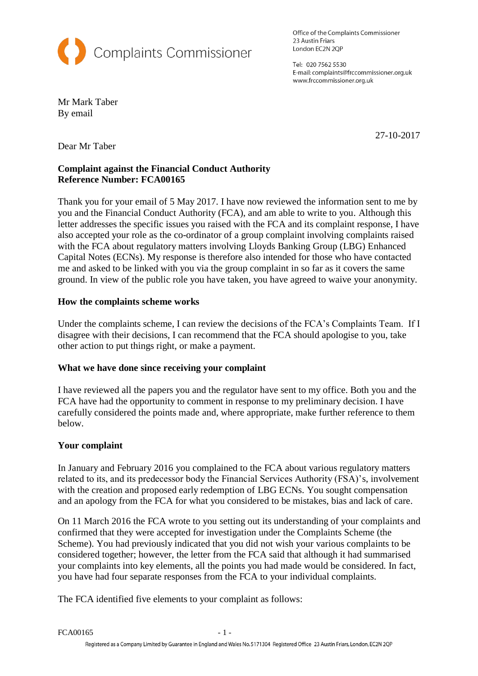

Office of the Complaints Commissioner 23 Austin Friars London EC2N 2QP

Tel: 020 7562 5530 E-mail: complaints@frccommissioner.org.uk www.frccommissioner.org.uk

Mr Mark Taber By email

27-10-2017

Dear Mr Taber

# **Complaint against the Financial Conduct Authority Reference Number: FCA00165**

Thank you for your email of 5 May 2017. I have now reviewed the information sent to me by you and the Financial Conduct Authority (FCA), and am able to write to you*.* Although this letter addresses the specific issues you raised with the FCA and its complaint response, I have also accepted your role as the co-ordinator of a group complaint involving complaints raised with the FCA about regulatory matters involving Lloyds Banking Group (LBG) Enhanced Capital Notes (ECNs). My response is therefore also intended for those who have contacted me and asked to be linked with you via the group complaint in so far as it covers the same ground. In view of the public role you have taken, you have agreed to waive your anonymity.

# **How the complaints scheme works**

Under the complaints scheme, I can review the decisions of the FCA's Complaints Team. If I disagree with their decisions, I can recommend that the FCA should apologise to you, take other action to put things right, or make a payment.

## **What we have done since receiving your complaint**

I have reviewed all the papers you and the regulator have sent to my office. Both you and the FCA have had the opportunity to comment in response to my preliminary decision. I have carefully considered the points made and, where appropriate, make further reference to them below.

## **Your complaint**

In January and February 2016 you complained to the FCA about various regulatory matters related to its, and its predecessor body the Financial Services Authority (FSA)'s, involvement with the creation and proposed early redemption of LBG ECNs. You sought compensation and an apology from the FCA for what you considered to be mistakes, bias and lack of care.

On 11 March 2016 the FCA wrote to you setting out its understanding of your complaints and confirmed that they were accepted for investigation under the Complaints Scheme (the Scheme). You had previously indicated that you did not wish your various complaints to be considered together; however, the letter from the FCA said that although it had summarised your complaints into key elements, all the points you had made would be considered. In fact, you have had four separate responses from the FCA to your individual complaints.

The FCA identified five elements to your complaint as follows: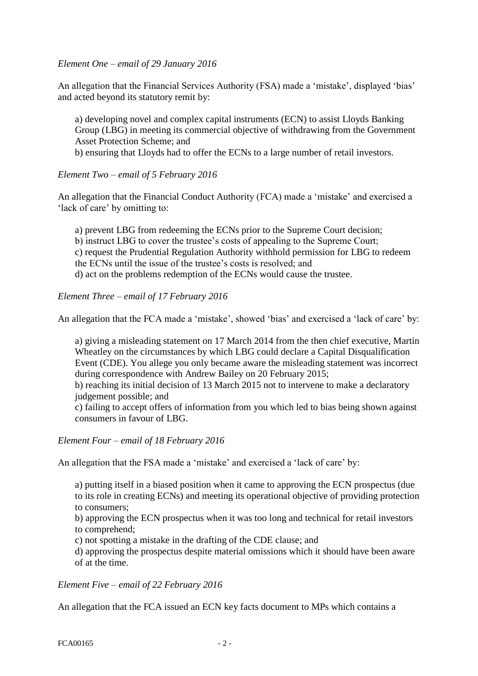*Element One – email of 29 January 2016*

An allegation that the Financial Services Authority (FSA) made a 'mistake', displayed 'bias' and acted beyond its statutory remit by:

a) developing novel and complex capital instruments (ECN) to assist Lloyds Banking Group (LBG) in meeting its commercial objective of withdrawing from the Government Asset Protection Scheme; and

b) ensuring that Lloyds had to offer the ECNs to a large number of retail investors.

## *Element Two – email of 5 February 2016*

An allegation that the Financial Conduct Authority (FCA) made a 'mistake' and exercised a 'lack of care' by omitting to:

a) prevent LBG from redeeming the ECNs prior to the Supreme Court decision;

b) instruct LBG to cover the trustee's costs of appealing to the Supreme Court;

c) request the Prudential Regulation Authority withhold permission for LBG to redeem the ECNs until the issue of the trustee's costs is resolved; and

d) act on the problems redemption of the ECNs would cause the trustee.

*Element Three – email of 17 February 2016*

An allegation that the FCA made a 'mistake', showed 'bias' and exercised a 'lack of care' by:

a) giving a misleading statement on 17 March 2014 from the then chief executive, Martin Wheatley on the circumstances by which LBG could declare a Capital Disqualification Event (CDE). You allege you only became aware the misleading statement was incorrect during correspondence with Andrew Bailey on 20 February 2015;

b) reaching its initial decision of 13 March 2015 not to intervene to make a declaratory judgement possible; and

c) failing to accept offers of information from you which led to bias being shown against consumers in favour of LBG.

*Element Four – email of 18 February 2016*

An allegation that the FSA made a 'mistake' and exercised a 'lack of care' by:

a) putting itself in a biased position when it came to approving the ECN prospectus (due to its role in creating ECNs) and meeting its operational objective of providing protection to consumers;

b) approving the ECN prospectus when it was too long and technical for retail investors to comprehend;

c) not spotting a mistake in the drafting of the CDE clause; and

d) approving the prospectus despite material omissions which it should have been aware of at the time.

*Element Five – email of 22 February 2016*

An allegation that the FCA issued an ECN key facts document to MPs which contains a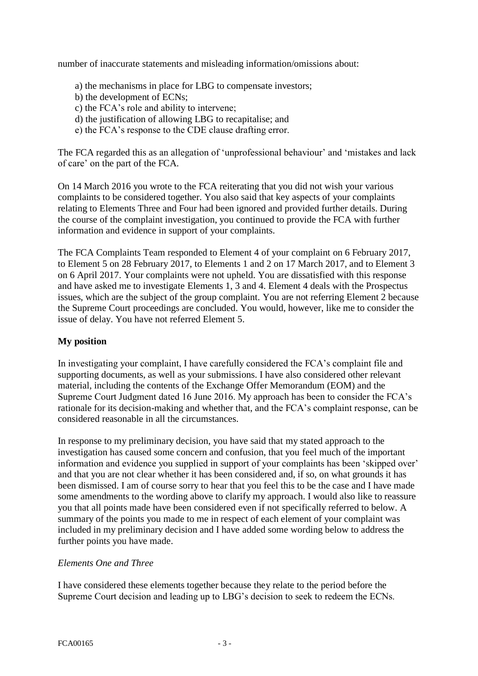number of inaccurate statements and misleading information/omissions about:

- a) the mechanisms in place for LBG to compensate investors;
- b) the development of ECNs;
- c) the FCA's role and ability to intervene;
- d) the justification of allowing LBG to recapitalise; and
- e) the FCA's response to the CDE clause drafting error.

The FCA regarded this as an allegation of 'unprofessional behaviour' and 'mistakes and lack of care' on the part of the FCA.

On 14 March 2016 you wrote to the FCA reiterating that you did not wish your various complaints to be considered together. You also said that key aspects of your complaints relating to Elements Three and Four had been ignored and provided further details. During the course of the complaint investigation, you continued to provide the FCA with further information and evidence in support of your complaints.

The FCA Complaints Team responded to Element 4 of your complaint on 6 February 2017, to Element 5 on 28 February 2017, to Elements 1 and 2 on 17 March 2017, and to Element 3 on 6 April 2017. Your complaints were not upheld. You are dissatisfied with this response and have asked me to investigate Elements 1, 3 and 4. Element 4 deals with the Prospectus issues, which are the subject of the group complaint. You are not referring Element 2 because the Supreme Court proceedings are concluded. You would, however, like me to consider the issue of delay. You have not referred Element 5.

### **My position**

In investigating your complaint, I have carefully considered the FCA's complaint file and supporting documents, as well as your submissions. I have also considered other relevant material, including the contents of the Exchange Offer Memorandum (EOM) and the Supreme Court Judgment dated 16 June 2016. My approach has been to consider the FCA's rationale for its decision-making and whether that, and the FCA's complaint response, can be considered reasonable in all the circumstances.

In response to my preliminary decision, you have said that my stated approach to the investigation has caused some concern and confusion, that you feel much of the important information and evidence you supplied in support of your complaints has been 'skipped over' and that you are not clear whether it has been considered and, if so, on what grounds it has been dismissed. I am of course sorry to hear that you feel this to be the case and I have made some amendments to the wording above to clarify my approach. I would also like to reassure you that all points made have been considered even if not specifically referred to below. A summary of the points you made to me in respect of each element of your complaint was included in my preliminary decision and I have added some wording below to address the further points you have made.

#### *Elements One and Three*

I have considered these elements together because they relate to the period before the Supreme Court decision and leading up to LBG's decision to seek to redeem the ECNs.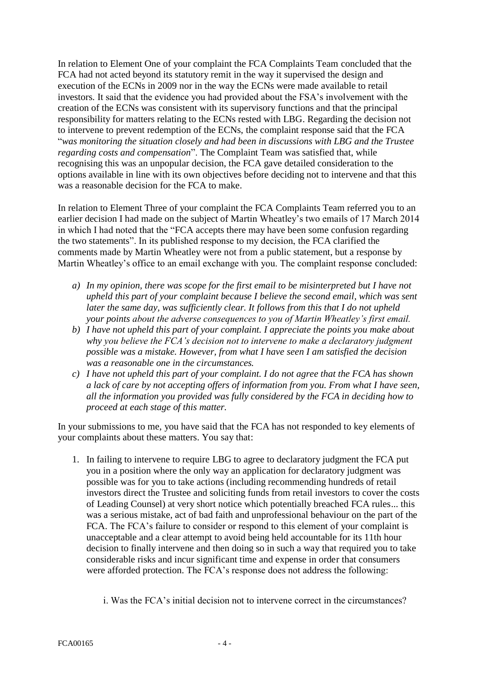In relation to Element One of your complaint the FCA Complaints Team concluded that the FCA had not acted beyond its statutory remit in the way it supervised the design and execution of the ECNs in 2009 nor in the way the ECNs were made available to retail investors. It said that the evidence you had provided about the FSA's involvement with the creation of the ECNs was consistent with its supervisory functions and that the principal responsibility for matters relating to the ECNs rested with LBG. Regarding the decision not to intervene to prevent redemption of the ECNs, the complaint response said that the FCA "*was monitoring the situation closely and had been in discussions with LBG and the Trustee regarding costs and compensation*". The Complaint Team was satisfied that, while recognising this was an unpopular decision, the FCA gave detailed consideration to the options available in line with its own objectives before deciding not to intervene and that this was a reasonable decision for the FCA to make.

In relation to Element Three of your complaint the FCA Complaints Team referred you to an earlier decision I had made on the subject of Martin Wheatley's two emails of 17 March 2014 in which I had noted that the "FCA accepts there may have been some confusion regarding the two statements". In its published response to my decision, the FCA clarified the comments made by Martin Wheatley were not from a public statement, but a response by Martin Wheatley's office to an email exchange with you. The complaint response concluded:

- *a) In my opinion, there was scope for the first email to be misinterpreted but I have not upheld this part of your complaint because I believe the second email, which was sent later the same day, was sufficiently clear. It follows from this that I do not upheld your points about the adverse consequences to you of Martin Wheatley's first email.*
- *b) I have not upheld this part of your complaint. I appreciate the points you make about why you believe the FCA's decision not to intervene to make a declaratory judgment possible was a mistake. However, from what I have seen I am satisfied the decision was a reasonable one in the circumstances.*
- *c) I have not upheld this part of your complaint. I do not agree that the FCA has shown a lack of care by not accepting offers of information from you. From what I have seen, all the information you provided was fully considered by the FCA in deciding how to proceed at each stage of this matter.*

In your submissions to me, you have said that the FCA has not responded to key elements of your complaints about these matters. You say that:

- 1. In failing to intervene to require LBG to agree to declaratory judgment the FCA put you in a position where the only way an application for declaratory judgment was possible was for you to take actions (including recommending hundreds of retail investors direct the Trustee and soliciting funds from retail investors to cover the costs of Leading Counsel) at very short notice which potentially breached FCA rules... this was a serious mistake, act of bad faith and unprofessional behaviour on the part of the FCA. The FCA's failure to consider or respond to this element of your complaint is unacceptable and a clear attempt to avoid being held accountable for its 11th hour decision to finally intervene and then doing so in such a way that required you to take considerable risks and incur significant time and expense in order that consumers were afforded protection. The FCA's response does not address the following:
	- i. Was the FCA's initial decision not to intervene correct in the circumstances?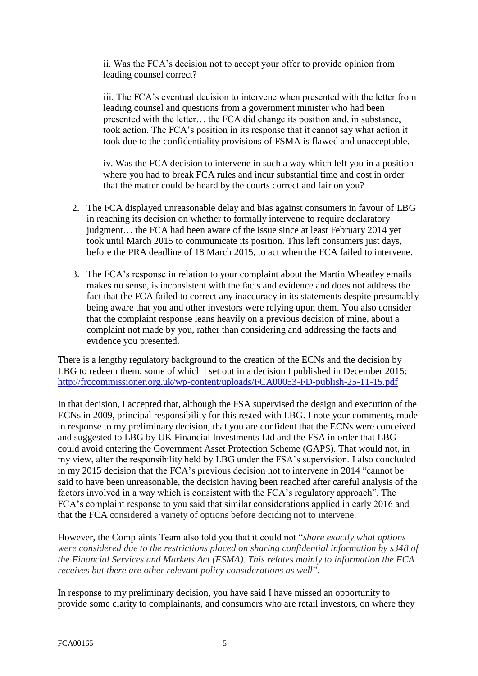ii. Was the FCA's decision not to accept your offer to provide opinion from leading counsel correct?

iii. The FCA's eventual decision to intervene when presented with the letter from leading counsel and questions from a government minister who had been presented with the letter… the FCA did change its position and, in substance, took action. The FCA's position in its response that it cannot say what action it took due to the confidentiality provisions of FSMA is flawed and unacceptable.

iv. Was the FCA decision to intervene in such a way which left you in a position where you had to break FCA rules and incur substantial time and cost in order that the matter could be heard by the courts correct and fair on you?

- 2. The FCA displayed unreasonable delay and bias against consumers in favour of LBG in reaching its decision on whether to formally intervene to require declaratory judgment… the FCA had been aware of the issue since at least February 2014 yet took until March 2015 to communicate its position. This left consumers just days, before the PRA deadline of 18 March 2015, to act when the FCA failed to intervene.
- 3. The FCA's response in relation to your complaint about the Martin Wheatley emails makes no sense, is inconsistent with the facts and evidence and does not address the fact that the FCA failed to correct any inaccuracy in its statements despite presumably being aware that you and other investors were relying upon them. You also consider that the complaint response leans heavily on a previous decision of mine, about a complaint not made by you, rather than considering and addressing the facts and evidence you presented.

There is a lengthy regulatory background to the creation of the ECNs and the decision by LBG to redeem them, some of which I set out in a decision I published in December 2015: <http://frccommissioner.org.uk/wp-content/uploads/FCA00053-FD-publish-25-11-15.pdf>

In that decision, I accepted that, although the FSA supervised the design and execution of the ECNs in 2009, principal responsibility for this rested with LBG. I note your comments, made in response to my preliminary decision, that you are confident that the ECNs were conceived and suggested to LBG by UK Financial Investments Ltd and the FSA in order that LBG could avoid entering the Government Asset Protection Scheme (GAPS). That would not, in my view, alter the responsibility held by LBG under the FSA's supervision. I also concluded in my 2015 decision that the FCA's previous decision not to intervene in 2014 "cannot be said to have been unreasonable, the decision having been reached after careful analysis of the factors involved in a way which is consistent with the FCA's regulatory approach". The FCA's complaint response to you said that similar considerations applied in early 2016 and that the FCA considered a variety of options before deciding not to intervene.

However, the Complaints Team also told you that it could not "*share exactly what options were considered due to the restrictions placed on sharing confidential information by s348 of the Financial Services and Markets Act (FSMA). This relates mainly to information the FCA receives but there are other relevant policy considerations as well*".

In response to my preliminary decision, you have said I have missed an opportunity to provide some clarity to complainants, and consumers who are retail investors, on where they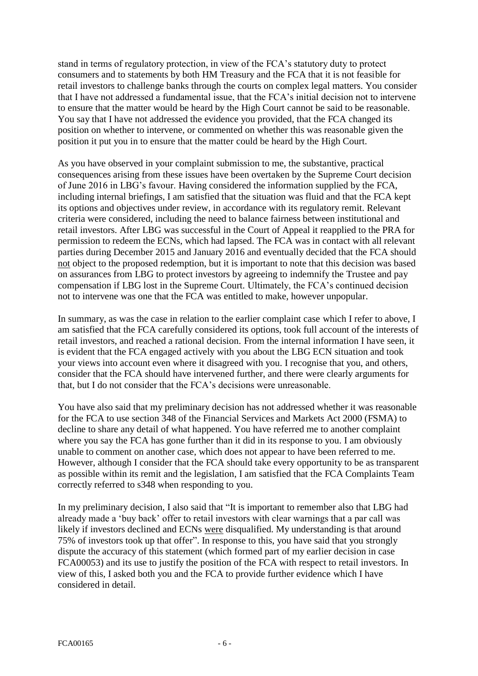stand in terms of regulatory protection, in view of the FCA's statutory duty to protect consumers and to statements by both HM Treasury and the FCA that it is not feasible for retail investors to challenge banks through the courts on complex legal matters. You consider that I have not addressed a fundamental issue, that the FCA's initial decision not to intervene to ensure that the matter would be heard by the High Court cannot be said to be reasonable. You say that I have not addressed the evidence you provided, that the FCA changed its position on whether to intervene, or commented on whether this was reasonable given the position it put you in to ensure that the matter could be heard by the High Court.

As you have observed in your complaint submission to me, the substantive, practical consequences arising from these issues have been overtaken by the Supreme Court decision of June 2016 in LBG's favour. Having considered the information supplied by the FCA, including internal briefings, I am satisfied that the situation was fluid and that the FCA kept its options and objectives under review, in accordance with its regulatory remit. Relevant criteria were considered, including the need to balance fairness between institutional and retail investors. After LBG was successful in the Court of Appeal it reapplied to the PRA for permission to redeem the ECNs, which had lapsed. The FCA was in contact with all relevant parties during December 2015 and January 2016 and eventually decided that the FCA should not object to the proposed redemption, but it is important to note that this decision was based on assurances from LBG to protect investors by agreeing to indemnify the Trustee and pay compensation if LBG lost in the Supreme Court. Ultimately, the FCA's continued decision not to intervene was one that the FCA was entitled to make, however unpopular.

In summary, as was the case in relation to the earlier complaint case which I refer to above, I am satisfied that the FCA carefully considered its options, took full account of the interests of retail investors, and reached a rational decision. From the internal information I have seen, it is evident that the FCA engaged actively with you about the LBG ECN situation and took your views into account even where it disagreed with you. I recognise that you, and others, consider that the FCA should have intervened further, and there were clearly arguments for that, but I do not consider that the FCA's decisions were unreasonable.

You have also said that my preliminary decision has not addressed whether it was reasonable for the FCA to use section 348 of the Financial Services and Markets Act 2000 (FSMA) to decline to share any detail of what happened. You have referred me to another complaint where you say the FCA has gone further than it did in its response to you. I am obviously unable to comment on another case, which does not appear to have been referred to me. However, although I consider that the FCA should take every opportunity to be as transparent as possible within its remit and the legislation, I am satisfied that the FCA Complaints Team correctly referred to s348 when responding to you.

In my preliminary decision, I also said that "It is important to remember also that LBG had already made a 'buy back' offer to retail investors with clear warnings that a par call was likely if investors declined and ECNs were disqualified. My understanding is that around 75% of investors took up that offer". In response to this, you have said that you strongly dispute the accuracy of this statement (which formed part of my earlier decision in case FCA00053) and its use to justify the position of the FCA with respect to retail investors. In view of this, I asked both you and the FCA to provide further evidence which I have considered in detail.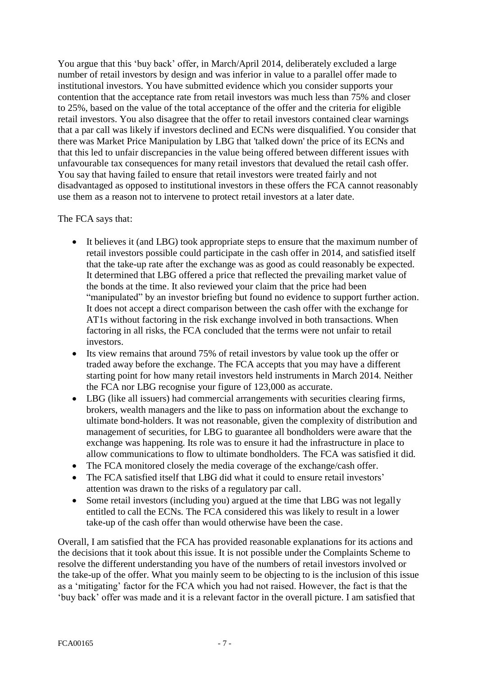You argue that this 'buy back' offer, in March/April 2014, deliberately excluded a large number of retail investors by design and was inferior in value to a parallel offer made to institutional investors. You have submitted evidence which you consider supports your contention that the acceptance rate from retail investors was much less than 75% and closer to 25%, based on the value of the total acceptance of the offer and the criteria for eligible retail investors. You also disagree that the offer to retail investors contained clear warnings that a par call was likely if investors declined and ECNs were disqualified. You consider that there was Market Price Manipulation by LBG that 'talked down' the price of its ECNs and that this led to unfair discrepancies in the value being offered between different issues with unfavourable tax consequences for many retail investors that devalued the retail cash offer. You say that having failed to ensure that retail investors were treated fairly and not disadvantaged as opposed to institutional investors in these offers the FCA cannot reasonably use them as a reason not to intervene to protect retail investors at a later date.

#### The FCA says that:

- It believes it (and LBG) took appropriate steps to ensure that the maximum number of retail investors possible could participate in the cash offer in 2014, and satisfied itself that the take-up rate after the exchange was as good as could reasonably be expected. It determined that LBG offered a price that reflected the prevailing market value of the bonds at the time. It also reviewed your claim that the price had been "manipulated" by an investor briefing but found no evidence to support further action. It does not accept a direct comparison between the cash offer with the exchange for AT1s without factoring in the risk exchange involved in both transactions. When factoring in all risks, the FCA concluded that the terms were not unfair to retail investors.
- Its view remains that around 75% of retail investors by value took up the offer or traded away before the exchange. The FCA accepts that you may have a different starting point for how many retail investors held instruments in March 2014. Neither the FCA nor LBG recognise your figure of 123,000 as accurate.
- LBG (like all issuers) had commercial arrangements with securities clearing firms, brokers, wealth managers and the like to pass on information about the exchange to ultimate bond-holders. It was not reasonable, given the complexity of distribution and management of securities, for LBG to guarantee all bondholders were aware that the exchange was happening. Its role was to ensure it had the infrastructure in place to allow communications to flow to ultimate bondholders. The FCA was satisfied it did.
- The FCA monitored closely the media coverage of the exchange/cash offer.
- The FCA satisfied itself that LBG did what it could to ensure retail investors' attention was drawn to the risks of a regulatory par call.
- Some retail investors (including you) argued at the time that LBG was not legally entitled to call the ECNs. The FCA considered this was likely to result in a lower take-up of the cash offer than would otherwise have been the case.

Overall, I am satisfied that the FCA has provided reasonable explanations for its actions and the decisions that it took about this issue. It is not possible under the Complaints Scheme to resolve the different understanding you have of the numbers of retail investors involved or the take-up of the offer. What you mainly seem to be objecting to is the inclusion of this issue as a 'mitigating' factor for the FCA which you had not raised. However, the fact is that the 'buy back' offer was made and it is a relevant factor in the overall picture. I am satisfied that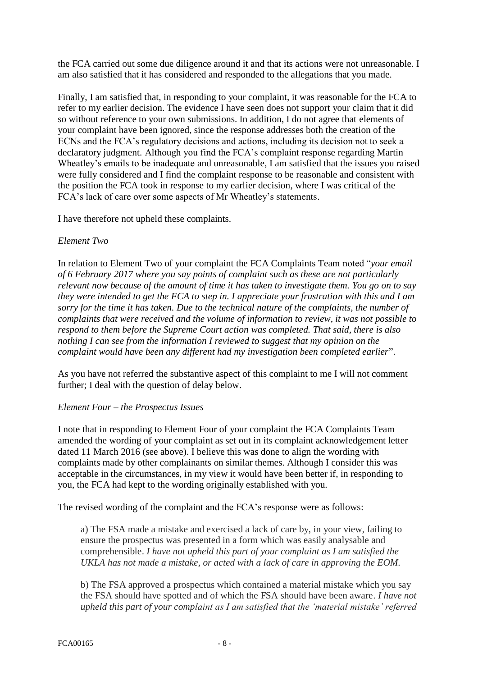the FCA carried out some due diligence around it and that its actions were not unreasonable. I am also satisfied that it has considered and responded to the allegations that you made.

Finally, I am satisfied that, in responding to your complaint, it was reasonable for the FCA to refer to my earlier decision. The evidence I have seen does not support your claim that it did so without reference to your own submissions. In addition, I do not agree that elements of your complaint have been ignored, since the response addresses both the creation of the ECNs and the FCA's regulatory decisions and actions, including its decision not to seek a declaratory judgment. Although you find the FCA's complaint response regarding Martin Wheatley's emails to be inadequate and unreasonable, I am satisfied that the issues you raised were fully considered and I find the complaint response to be reasonable and consistent with the position the FCA took in response to my earlier decision, where I was critical of the FCA's lack of care over some aspects of Mr Wheatley's statements.

I have therefore not upheld these complaints.

### *Element Two*

In relation to Element Two of your complaint the FCA Complaints Team noted "*your email of 6 February 2017 where you say points of complaint such as these are not particularly relevant now because of the amount of time it has taken to investigate them. You go on to say they were intended to get the FCA to step in. I appreciate your frustration with this and I am sorry for the time it has taken. Due to the technical nature of the complaints, the number of complaints that were received and the volume of information to review, it was not possible to respond to them before the Supreme Court action was completed. That said, there is also nothing I can see from the information I reviewed to suggest that my opinion on the complaint would have been any different had my investigation been completed earlier*".

As you have not referred the substantive aspect of this complaint to me I will not comment further; I deal with the question of delay below.

#### *Element Four – the Prospectus Issues*

I note that in responding to Element Four of your complaint the FCA Complaints Team amended the wording of your complaint as set out in its complaint acknowledgement letter dated 11 March 2016 (see above). I believe this was done to align the wording with complaints made by other complainants on similar themes. Although I consider this was acceptable in the circumstances, in my view it would have been better if, in responding to you, the FCA had kept to the wording originally established with you.

The revised wording of the complaint and the FCA's response were as follows:

a) The FSA made a mistake and exercised a lack of care by, in your view, failing to ensure the prospectus was presented in a form which was easily analysable and comprehensible. *I have not upheld this part of your complaint as I am satisfied the UKLA has not made a mistake, or acted with a lack of care in approving the EOM.*

b) The FSA approved a prospectus which contained a material mistake which you say the FSA should have spotted and of which the FSA should have been aware. *I have not upheld this part of your complaint as I am satisfied that the 'material mistake' referred*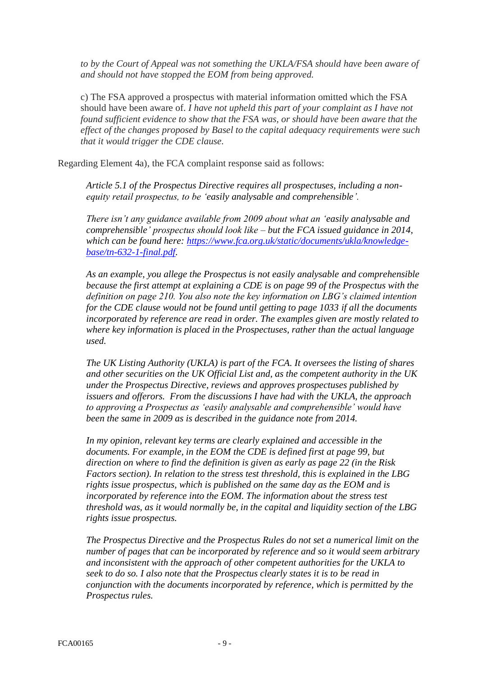*to by the Court of Appeal was not something the UKLA/FSA should have been aware of and should not have stopped the EOM from being approved.*

c) The FSA approved a prospectus with material information omitted which the FSA should have been aware of. *I have not upheld this part of your complaint as I have not found sufficient evidence to show that the FSA was, or should have been aware that the effect of the changes proposed by Basel to the capital adequacy requirements were such that it would trigger the CDE clause.*

Regarding Element 4a), the FCA complaint response said as follows:

*Article 5.1 of the Prospectus Directive requires all prospectuses, including a nonequity retail prospectus, to be 'easily analysable and comprehensible'.* 

*There isn't any guidance available from 2009 about what an 'easily analysable and comprehensible' prospectus should look like – but the FCA issued guidance in 2014, which can be found here: [https://www.fca.org.uk/static/documents/ukla/knowledge](https://www.fca.org.uk/static/documents/ukla/knowledge-base/tn-632-1-final.pdf)[base/tn-632-1-final.pdf.](https://www.fca.org.uk/static/documents/ukla/knowledge-base/tn-632-1-final.pdf)* 

*As an example, you allege the Prospectus is not easily analysable and comprehensible because the first attempt at explaining a CDE is on page 99 of the Prospectus with the definition on page 210. You also note the key information on LBG's claimed intention for the CDE clause would not be found until getting to page 1033 if all the documents incorporated by reference are read in order. The examples given are mostly related to where key information is placed in the Prospectuses, rather than the actual language used.*

*The UK Listing Authority (UKLA) is part of the FCA. It oversees the listing of shares and other securities on the UK Official List and, as the competent authority in the UK under the Prospectus Directive, reviews and approves prospectuses published by issuers and offerors. From the discussions I have had with the UKLA, the approach to approving a Prospectus as 'easily analysable and comprehensible' would have been the same in 2009 as is described in the guidance note from 2014.* 

*In my opinion, relevant key terms are clearly explained and accessible in the documents. For example, in the EOM the CDE is defined first at page 99, but direction on where to find the definition is given as early as page 22 (in the Risk Factors section). In relation to the stress test threshold, this is explained in the LBG rights issue prospectus, which is published on the same day as the EOM and is incorporated by reference into the EOM. The information about the stress test threshold was, as it would normally be, in the capital and liquidity section of the LBG rights issue prospectus.*

*The Prospectus Directive and the Prospectus Rules do not set a numerical limit on the number of pages that can be incorporated by reference and so it would seem arbitrary and inconsistent with the approach of other competent authorities for the UKLA to seek to do so. I also note that the Prospectus clearly states it is to be read in conjunction with the documents incorporated by reference, which is permitted by the Prospectus rules.*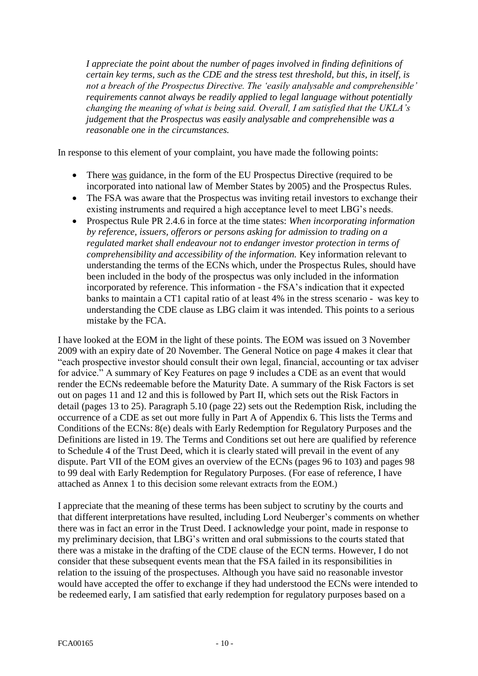*I appreciate the point about the number of pages involved in finding definitions of certain key terms, such as the CDE and the stress test threshold, but this, in itself, is not a breach of the Prospectus Directive. The 'easily analysable and comprehensible' requirements cannot always be readily applied to legal language without potentially changing the meaning of what is being said. Overall, I am satisfied that the UKLA's judgement that the Prospectus was easily analysable and comprehensible was a reasonable one in the circumstances.*

In response to this element of your complaint, you have made the following points:

- There was guidance, in the form of the EU Prospectus Directive (required to be incorporated into national law of Member States by 2005) and the Prospectus Rules.
- The FSA was aware that the Prospectus was inviting retail investors to exchange their existing instruments and required a high acceptance level to meet LBG's needs.
- Prospectus Rule PR 2.4.6 in force at the time states: *When incorporating information by reference, issuers, offerors or persons asking for admission to trading on a regulated market shall endeavour not to endanger investor protection in terms of comprehensibility and accessibility of the information.* Key information relevant to understanding the terms of the ECNs which, under the Prospectus Rules, should have been included in the body of the prospectus was only included in the information incorporated by reference. This information - the FSA's indication that it expected banks to maintain a CT1 capital ratio of at least 4% in the stress scenario - was key to understanding the CDE clause as LBG claim it was intended. This points to a serious mistake by the FCA.

I have looked at the EOM in the light of these points. The EOM was issued on 3 November 2009 with an expiry date of 20 November. The General Notice on page 4 makes it clear that "each prospective investor should consult their own legal, financial, accounting or tax adviser for advice." A summary of Key Features on page 9 includes a CDE as an event that would render the ECNs redeemable before the Maturity Date. A summary of the Risk Factors is set out on pages 11 and 12 and this is followed by Part II, which sets out the Risk Factors in detail (pages 13 to 25). Paragraph 5.10 (page 22) sets out the Redemption Risk, including the occurrence of a CDE as set out more fully in Part A of Appendix 6. This lists the Terms and Conditions of the ECNs: 8(e) deals with Early Redemption for Regulatory Purposes and the Definitions are listed in 19. The Terms and Conditions set out here are qualified by reference to Schedule 4 of the Trust Deed, which it is clearly stated will prevail in the event of any dispute. Part VII of the EOM gives an overview of the ECNs (pages 96 to 103) and pages 98 to 99 deal with Early Redemption for Regulatory Purposes. (For ease of reference, I have attached as Annex 1 to this decision some relevant extracts from the EOM.)

I appreciate that the meaning of these terms has been subject to scrutiny by the courts and that different interpretations have resulted, including Lord Neuberger's comments on whether there was in fact an error in the Trust Deed. I acknowledge your point, made in response to my preliminary decision, that LBG's written and oral submissions to the courts stated that there was a mistake in the drafting of the CDE clause of the ECN terms. However, I do not consider that these subsequent events mean that the FSA failed in its responsibilities in relation to the issuing of the prospectuses. Although you have said no reasonable investor would have accepted the offer to exchange if they had understood the ECNs were intended to be redeemed early, I am satisfied that early redemption for regulatory purposes based on a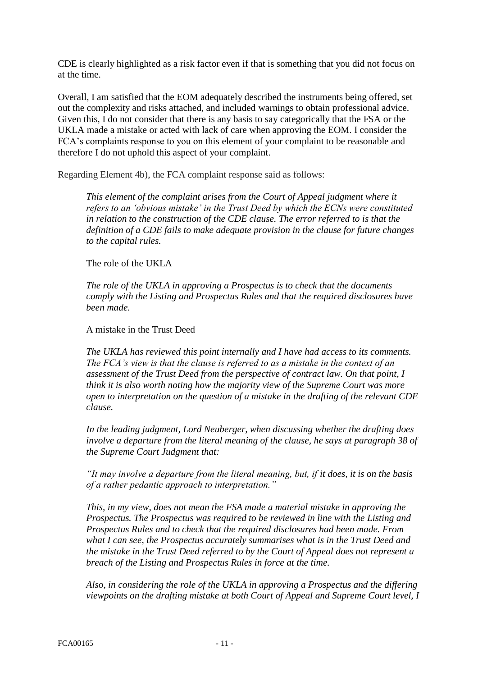CDE is clearly highlighted as a risk factor even if that is something that you did not focus on at the time.

Overall, I am satisfied that the EOM adequately described the instruments being offered, set out the complexity and risks attached, and included warnings to obtain professional advice. Given this, I do not consider that there is any basis to say categorically that the FSA or the UKLA made a mistake or acted with lack of care when approving the EOM. I consider the FCA's complaints response to you on this element of your complaint to be reasonable and therefore I do not uphold this aspect of your complaint.

Regarding Element 4b), the FCA complaint response said as follows:

*This element of the complaint arises from the Court of Appeal judgment where it refers to an 'obvious mistake' in the Trust Deed by which the ECNs were constituted in relation to the construction of the CDE clause. The error referred to is that the definition of a CDE fails to make adequate provision in the clause for future changes to the capital rules.* 

The role of the UKLA

*The role of the UKLA in approving a Prospectus is to check that the documents comply with the Listing and Prospectus Rules and that the required disclosures have been made.* 

A mistake in the Trust Deed

*The UKLA has reviewed this point internally and I have had access to its comments. The FCA's view is that the clause is referred to as a mistake in the context of an assessment of the Trust Deed from the perspective of contract law. On that point, I think it is also worth noting how the majority view of the Supreme Court was more open to interpretation on the question of a mistake in the drafting of the relevant CDE clause.*

*In the leading judgment, Lord Neuberger, when discussing whether the drafting does involve a departure from the literal meaning of the clause, he says at paragraph 38 of the Supreme Court Judgment that:*

*"It may involve a departure from the literal meaning, but, if it does, it is on the basis of a rather pedantic approach to interpretation."*

*This, in my view, does not mean the FSA made a material mistake in approving the Prospectus. The Prospectus was required to be reviewed in line with the Listing and Prospectus Rules and to check that the required disclosures had been made. From what I can see, the Prospectus accurately summarises what is in the Trust Deed and the mistake in the Trust Deed referred to by the Court of Appeal does not represent a breach of the Listing and Prospectus Rules in force at the time.*

*Also, in considering the role of the UKLA in approving a Prospectus and the differing viewpoints on the drafting mistake at both Court of Appeal and Supreme Court level, I*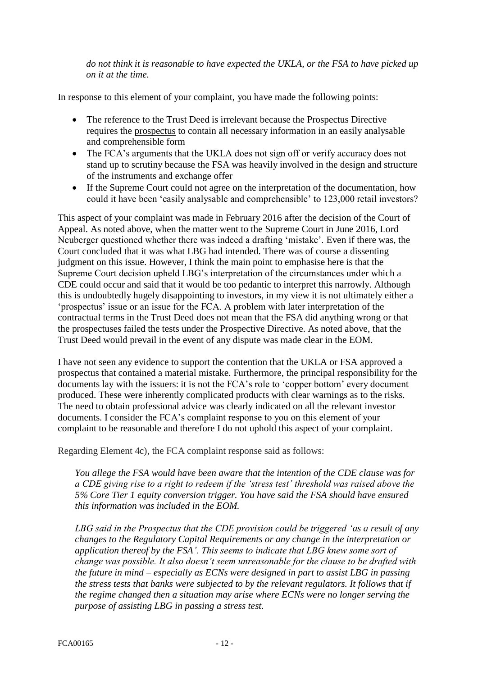*do not think it is reasonable to have expected the UKLA, or the FSA to have picked up on it at the time.*

In response to this element of your complaint, you have made the following points:

- The reference to the Trust Deed is irrelevant because the Prospectus Directive requires the prospectus to contain all necessary information in an easily analysable and comprehensible form
- The FCA's arguments that the UKLA does not sign off or verify accuracy does not stand up to scrutiny because the FSA was heavily involved in the design and structure of the instruments and exchange offer
- If the Supreme Court could not agree on the interpretation of the documentation, how could it have been 'easily analysable and comprehensible' to 123,000 retail investors?

This aspect of your complaint was made in February 2016 after the decision of the Court of Appeal. As noted above, when the matter went to the Supreme Court in June 2016, Lord Neuberger questioned whether there was indeed a drafting 'mistake'. Even if there was, the Court concluded that it was what LBG had intended. There was of course a dissenting judgment on this issue. However, I think the main point to emphasise here is that the Supreme Court decision upheld LBG's interpretation of the circumstances under which a CDE could occur and said that it would be too pedantic to interpret this narrowly. Although this is undoubtedly hugely disappointing to investors, in my view it is not ultimately either a 'prospectus' issue or an issue for the FCA. A problem with later interpretation of the contractual terms in the Trust Deed does not mean that the FSA did anything wrong or that the prospectuses failed the tests under the Prospective Directive. As noted above, that the Trust Deed would prevail in the event of any dispute was made clear in the EOM.

I have not seen any evidence to support the contention that the UKLA or FSA approved a prospectus that contained a material mistake. Furthermore, the principal responsibility for the documents lay with the issuers: it is not the FCA's role to 'copper bottom' every document produced. These were inherently complicated products with clear warnings as to the risks. The need to obtain professional advice was clearly indicated on all the relevant investor documents. I consider the FCA's complaint response to you on this element of your complaint to be reasonable and therefore I do not uphold this aspect of your complaint.

Regarding Element 4c), the FCA complaint response said as follows:

*You allege the FSA would have been aware that the intention of the CDE clause was for a CDE giving rise to a right to redeem if the 'stress test' threshold was raised above the 5% Core Tier 1 equity conversion trigger. You have said the FSA should have ensured this information was included in the EOM.* 

*LBG said in the Prospectus that the CDE provision could be triggered 'as a result of any changes to the Regulatory Capital Requirements or any change in the interpretation or application thereof by the FSA'. This seems to indicate that LBG knew some sort of change was possible. It also doesn't seem unreasonable for the clause to be drafted with the future in mind – especially as ECNs were designed in part to assist LBG in passing the stress tests that banks were subjected to by the relevant regulators. It follows that if the regime changed then a situation may arise where ECNs were no longer serving the purpose of assisting LBG in passing a stress test.*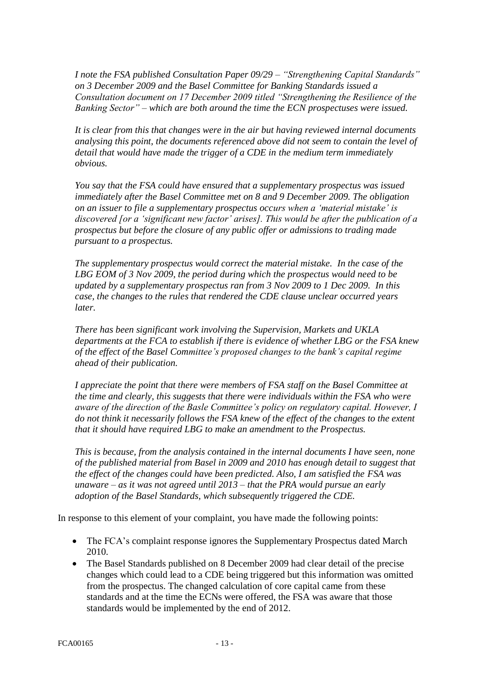*I note the FSA published Consultation Paper 09/29 – "Strengthening Capital Standards" on 3 December 2009 and the Basel Committee for Banking Standards issued a Consultation document on 17 December 2009 titled "Strengthening the Resilience of the Banking Sector" – which are both around the time the ECN prospectuses were issued.* 

*It is clear from this that changes were in the air but having reviewed internal documents analysing this point, the documents referenced above did not seem to contain the level of detail that would have made the trigger of a CDE in the medium term immediately obvious.* 

*You say that the FSA could have ensured that a supplementary prospectus was issued immediately after the Basel Committee met on 8 and 9 December 2009. The obligation on an issuer to file a supplementary prospectus occurs when a 'material mistake' is discovered [or a 'significant new factor' arises]. This would be after the publication of a prospectus but before the closure of any public offer or admissions to trading made pursuant to a prospectus.* 

*The supplementary prospectus would correct the material mistake. In the case of the LBG EOM of 3 Nov 2009, the period during which the prospectus would need to be updated by a supplementary prospectus ran from 3 Nov 2009 to 1 Dec 2009. In this case, the changes to the rules that rendered the CDE clause unclear occurred years later.*

*There has been significant work involving the Supervision, Markets and UKLA departments at the FCA to establish if there is evidence of whether LBG or the FSA knew of the effect of the Basel Committee's proposed changes to the bank's capital regime ahead of their publication.* 

*I appreciate the point that there were members of FSA staff on the Basel Committee at the time and clearly, this suggests that there were individuals within the FSA who were aware of the direction of the Basle Committee's policy on regulatory capital. However, I do not think it necessarily follows the FSA knew of the effect of the changes to the extent that it should have required LBG to make an amendment to the Prospectus.*

*This is because, from the analysis contained in the internal documents I have seen, none of the published material from Basel in 2009 and 2010 has enough detail to suggest that the effect of the changes could have been predicted. Also, I am satisfied the FSA was unaware – as it was not agreed until 2013 – that the PRA would pursue an early adoption of the Basel Standards, which subsequently triggered the CDE.* 

In response to this element of your complaint, you have made the following points:

- The FCA's complaint response ignores the Supplementary Prospectus dated March 2010.
- The Basel Standards published on 8 December 2009 had clear detail of the precise changes which could lead to a CDE being triggered but this information was omitted from the prospectus. The changed calculation of core capital came from these standards and at the time the ECNs were offered, the FSA was aware that those standards would be implemented by the end of 2012.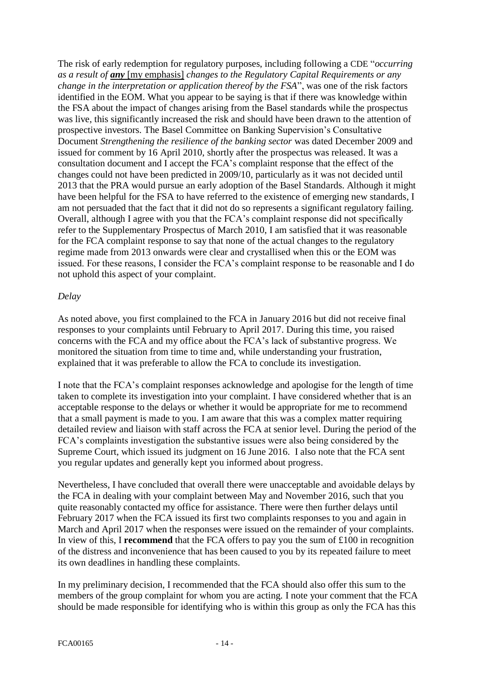The risk of early redemption for regulatory purposes, including following a CDE "*occurring as a result of any* [my emphasis] *changes to the Regulatory Capital Requirements or any change in the interpretation or application thereof by the FSA*", was one of the risk factors identified in the EOM. What you appear to be saying is that if there was knowledge within the FSA about the impact of changes arising from the Basel standards while the prospectus was live, this significantly increased the risk and should have been drawn to the attention of prospective investors. The Basel Committee on Banking Supervision's Consultative Document *Strengthening the resilience of the banking sector* was dated December 2009 and issued for comment by 16 April 2010, shortly after the prospectus was released. It was a consultation document and I accept the FCA's complaint response that the effect of the changes could not have been predicted in 2009/10, particularly as it was not decided until 2013 that the PRA would pursue an early adoption of the Basel Standards. Although it might have been helpful for the FSA to have referred to the existence of emerging new standards, I am not persuaded that the fact that it did not do so represents a significant regulatory failing. Overall, although I agree with you that the FCA's complaint response did not specifically refer to the Supplementary Prospectus of March 2010, I am satisfied that it was reasonable for the FCA complaint response to say that none of the actual changes to the regulatory regime made from 2013 onwards were clear and crystallised when this or the EOM was issued. For these reasons, I consider the FCA's complaint response to be reasonable and I do not uphold this aspect of your complaint.

## *Delay*

As noted above, you first complained to the FCA in January 2016 but did not receive final responses to your complaints until February to April 2017. During this time, you raised concerns with the FCA and my office about the FCA's lack of substantive progress. We monitored the situation from time to time and, while understanding your frustration, explained that it was preferable to allow the FCA to conclude its investigation.

I note that the FCA's complaint responses acknowledge and apologise for the length of time taken to complete its investigation into your complaint. I have considered whether that is an acceptable response to the delays or whether it would be appropriate for me to recommend that a small payment is made to you. I am aware that this was a complex matter requiring detailed review and liaison with staff across the FCA at senior level. During the period of the FCA's complaints investigation the substantive issues were also being considered by the Supreme Court, which issued its judgment on 16 June 2016. I also note that the FCA sent you regular updates and generally kept you informed about progress.

Nevertheless, I have concluded that overall there were unacceptable and avoidable delays by the FCA in dealing with your complaint between May and November 2016, such that you quite reasonably contacted my office for assistance. There were then further delays until February 2017 when the FCA issued its first two complaints responses to you and again in March and April 2017 when the responses were issued on the remainder of your complaints. In view of this, I **recommend** that the FCA offers to pay you the sum of £100 in recognition of the distress and inconvenience that has been caused to you by its repeated failure to meet its own deadlines in handling these complaints.

In my preliminary decision, I recommended that the FCA should also offer this sum to the members of the group complaint for whom you are acting. I note your comment that the FCA should be made responsible for identifying who is within this group as only the FCA has this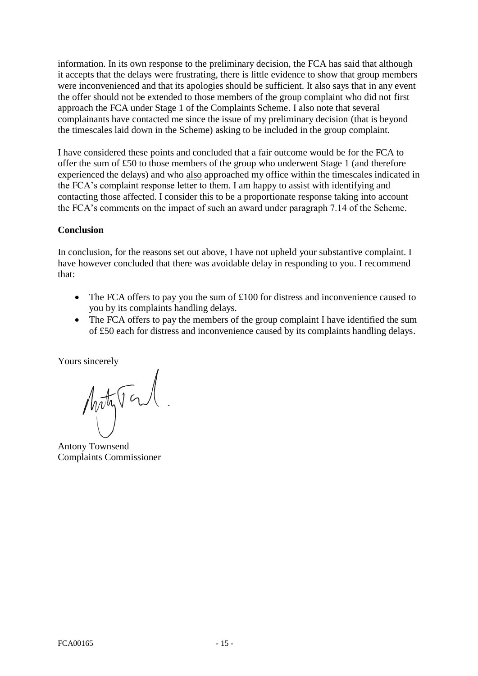information. In its own response to the preliminary decision, the FCA has said that although it accepts that the delays were frustrating, there is little evidence to show that group members were inconvenienced and that its apologies should be sufficient. It also says that in any event the offer should not be extended to those members of the group complaint who did not first approach the FCA under Stage 1 of the Complaints Scheme. I also note that several complainants have contacted me since the issue of my preliminary decision (that is beyond the timescales laid down in the Scheme) asking to be included in the group complaint.

I have considered these points and concluded that a fair outcome would be for the FCA to offer the sum of £50 to those members of the group who underwent Stage 1 (and therefore experienced the delays) and who also approached my office within the timescales indicated in the FCA's complaint response letter to them. I am happy to assist with identifying and contacting those affected. I consider this to be a proportionate response taking into account the FCA's comments on the impact of such an award under paragraph 7.14 of the Scheme.

## **Conclusion**

In conclusion, for the reasons set out above, I have not upheld your substantive complaint. I have however concluded that there was avoidable delay in responding to you. I recommend that:

- The FCA offers to pay you the sum of £100 for distress and inconvenience caused to you by its complaints handling delays.
- The FCA offers to pay the members of the group complaint I have identified the sum of £50 each for distress and inconvenience caused by its complaints handling delays.

Yours sincerely

Motyton.

Antony Townsend Complaints Commissioner